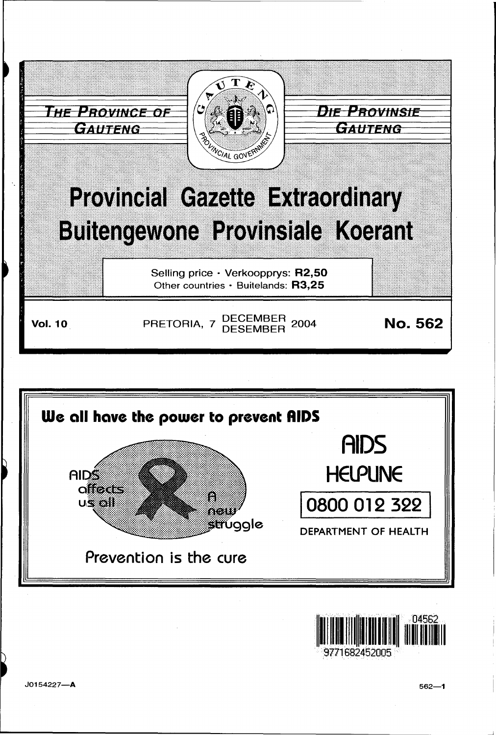





J0154227-A

 $562 - 1$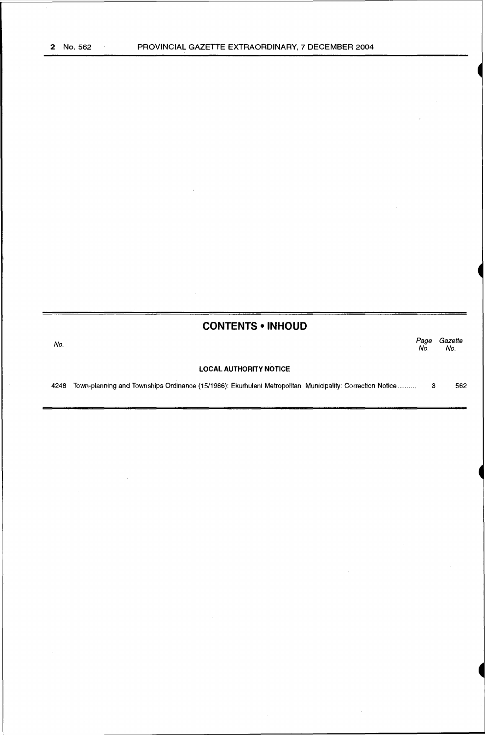# **CONTENTS •INHOUD**

No. Page Gazette No. No. **LOCAL AUTHORITY NOTICE** 

4248 Town-planning and Townships Ordinance (15/1986): Ekurhuleni Metropolitan Municipality: Correction Notice .......... 3 562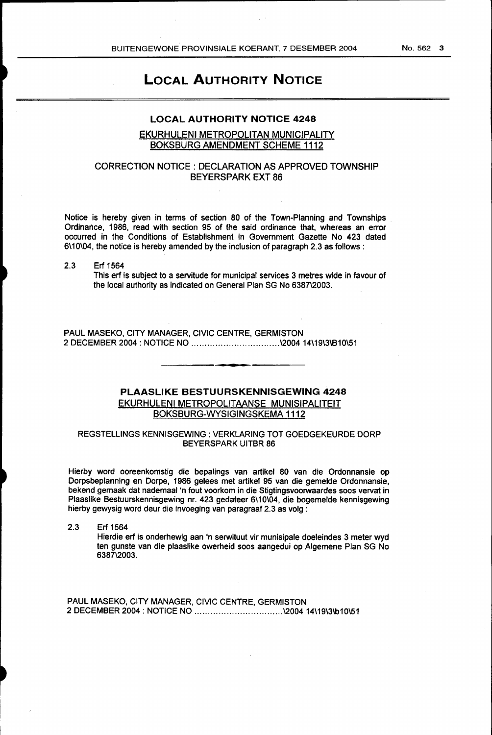# **LOCAL AUTHORITY NOTICE**

# **LOCAL AUTHORITY NOTICE 4248**

#### EKURHULENI METROPOLITAN MUNICIPALITY BOKSBURG AMENDMENT SCHEME 1112

## CORRECTION NOTICE: DECLARATION AS APPROVED TOWNSHIP BEYERSPARK EXT 86

Notice is hereby given in terms of section 80 of the Town-Planning and Townships Ordinance, 1986, read with section 95 of the said ordinance that, whereas an error occurred in the Conditions of Establishment in Government Gazette No 423 dated 6\10\04, the notice is hereby amended by the inclusion of paragraph 2.3 as follows:

2.3 Erf 1564

This erf is subject to a servitude for municipal services 3 metres wide in favour of the local authority as indicated on General Plan SG No 6387\2003.

PAUL MASEKO, CITY MANAGER, CIVIC CENTRE, GERMISTON 2 DECEMBER 2004: NOTICE NO ................................. \2004 14\19\3\810\51

### **PLAASLIKE BESTUURSKENNISGEWING 4248**  EKURHULENI METROPOLITAANSE MUNISIPALITEIT BOKSBURG-WYSIGINGSKEMA 1112

#### REGSTELLINGS KENNISGEWING : VERKLARING TOT GOEDGEKEURDE DORP BEYERSPARK UITBR 86

Hierby word ooreenkomstig die bepalings van artikel 80 van die Ordonnansie op Dorpsbeplanning en Dorpe, 1986 gelees met artikel 95 van die gemelde Ordonnansie, bekend gemaak dat nademaal 'n fout voorkom in die Stigtingsvoorwaardes soos vervat in Plaaslike Bestuurskennisgewing nr. 423 gedateer 6\10\04, die bogemelde kennisgewing hierby gewysig word deur die invoeging van paragraaf 2.3 as volg :

2.3 Erf 1564 Hierdie erf is onderhewig aan 'n serwituut vir munisipale doeleindes 3 meter wyd ten gunste van die plaaslike owerheid soos aangedui op Algemene Plan SG No 6387\2003.

PAUL MASEKO, CITY MANAGER, CIVIC CENTRE, GERMISTON 2 DECEMBER 2004: NOTICE NO ................................. \2004 14\19\3\b10\51